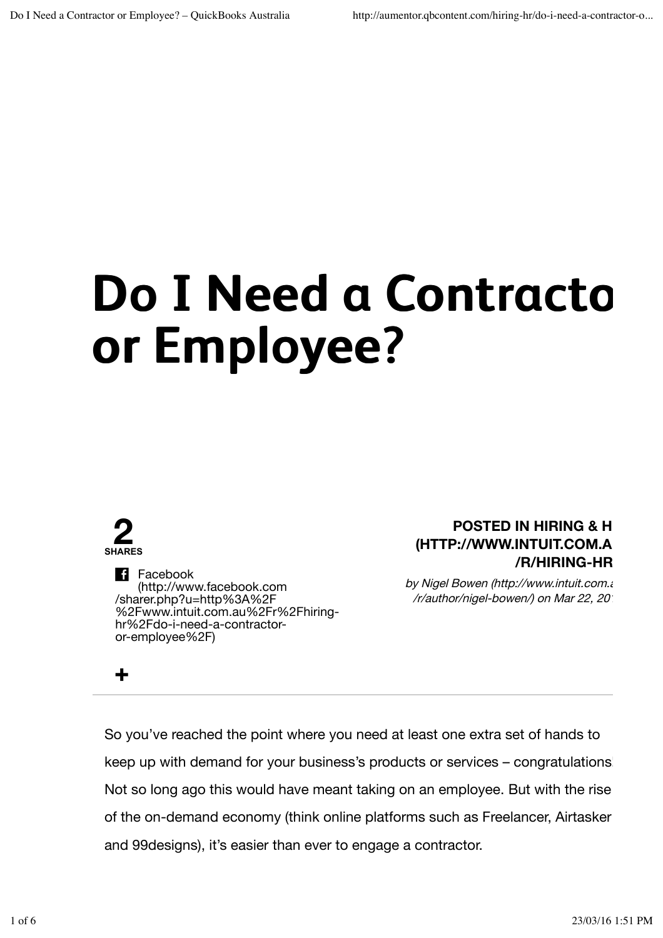# **Do I Need a Contractor or Employee?**



**+**

**Facebook** (http://www.facebook.com /sharer.php?u=http%3A%2F %2Fwww.intuit.com.au%2Fr%2Fhiringhr%2Fdo-i-need-a-contractoror-employee%2F)

### **POSTED IN HIRING & H (HTTP://WWW.INTUIT.COM.AU /R/HIRING-HR/**

by Nigel Bowen (http://www.intuit.com.au /r/author/nigel-bowen/) on Mar 22, 2016

So you've reached the point where you need at least one extra set of hands to keep up with demand for your business's products or services – congratulations! Not so long ago this would have meant taking on an employee. But with the rise of the on-demand economy (think online platforms such as Freelancer, Airtasker and 99designs), it's easier than ever to engage a contractor.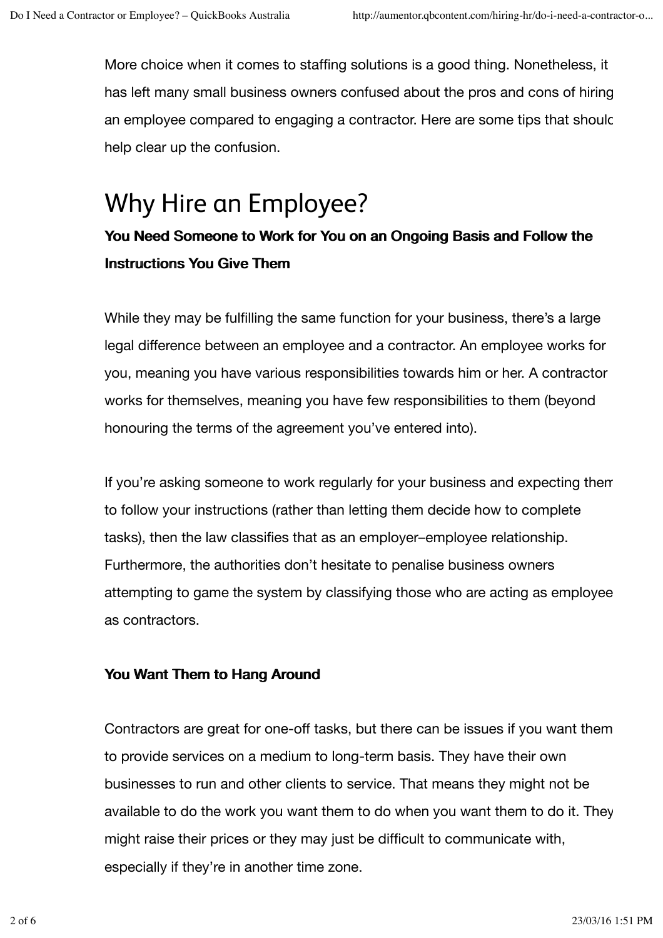More choice when it comes to staffing solutions is a good thing. Nonetheless, it has left many small business owners confused about the pros and cons of hiring an employee compared to engaging a contractor. Here are some tips that should help clear up the confusion.

### Why Hire an Employee?

### You Need Someone to Work for You on an Ongoing Basis and Follow the **Instructions You Give Them**

While they may be fulfilling the same function for your business, there's a large legal difference between an employee and a contractor. An employee works for you, meaning you have various responsibilities towards him or her. A contractor works for themselves, meaning you have few responsibilities to them (beyond honouring the terms of the agreement you've entered into).

If you're asking someone to work regularly for your business and expecting them to follow your instructions (rather than letting them decide how to complete tasks), then the law classifies that as an employer–employee relationship. Furthermore, the authorities don't hesitate to penalise business owners attempting to game the system by classifying those who are acting as employee as contractors.

#### You Want Them to Hang Around

Contractors are great for one-off tasks, but there can be issues if you want them to provide services on a medium to long-term basis. They have their own businesses to run and other clients to service. That means they might not be available to do the work you want them to do when you want them to do it. They might raise their prices or they may just be difficult to communicate with, especially if they're in another time zone.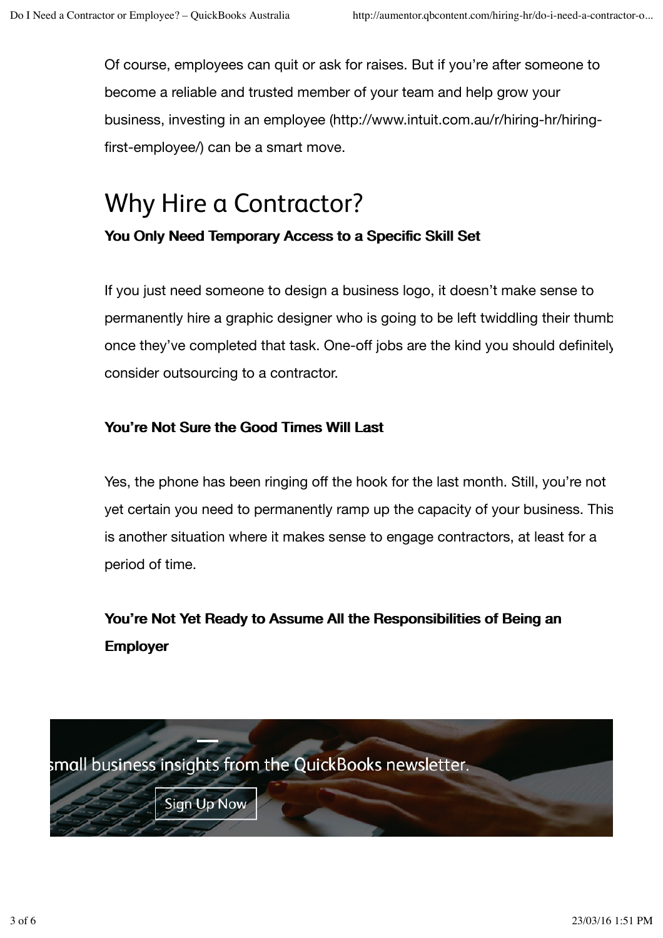Of course, employees can quit or ask for raises. But if you're after someone to become a reliable and trusted member of your team and help grow your business, investing in an employee (http://www.intuit.com.au/r/hiring-hr/hiringfirst-employee/) can be a smart move.

## Why Hire a Contractor?

You Only Need Temporary Access to a Specific Skill Set

If you just need someone to design a business logo, it doesn't make sense to permanently hire a graphic designer who is going to be left twiddling their thumb once they've completed that task. One-off jobs are the kind you should definitely consider outsourcing to a contractor.

### You're Not Sure the Good Times Will Last

Yes, the phone has been ringing off the hook for the last month. Still, you're not yet certain you need to permanently ramp up the capacity of your business. This is another situation where it makes sense to engage contractors, at least for a period of time.

You're Not Yet Ready to Assume All the Responsibilities of Being an Employer

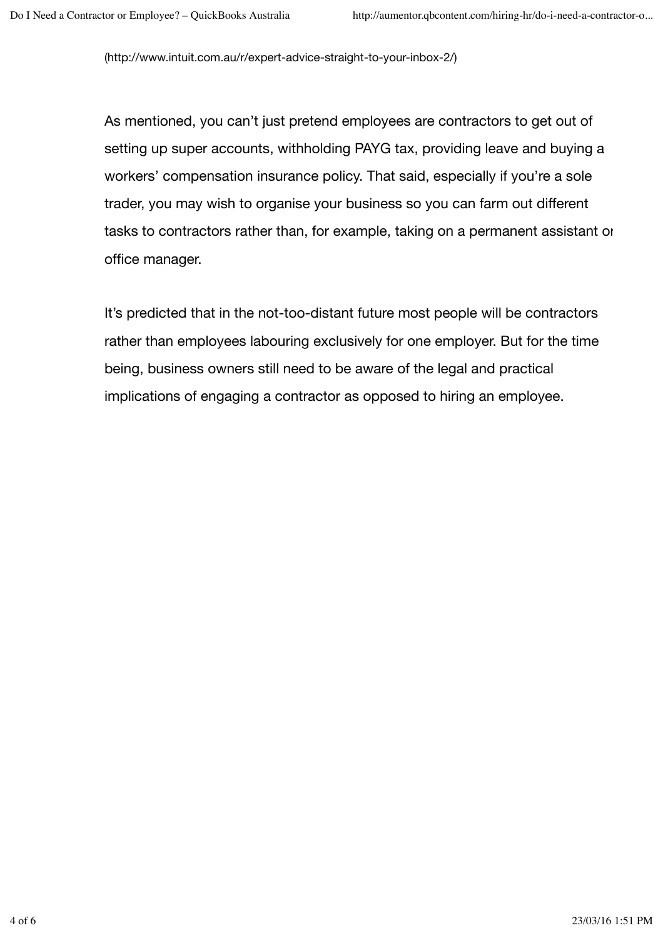(http://www.intuit.com.au/r/expert-advice-straight-to-your-inbox-2/)

As mentioned, you can't just pretend employees are contractors to get out of setting up super accounts, withholding PAYG tax, providing leave and buying a workers' compensation insurance policy. That said, especially if you're a sole trader, you may wish to organise your business so you can farm out different tasks to contractors rather than, for example, taking on a permanent assistant or office manager.

It's predicted that in the not-too-distant future most people will be contractors rather than employees labouring exclusively for one employer. But for the time being, business owners still need to be aware of the legal and practical implications of engaging a contractor as opposed to hiring an employee.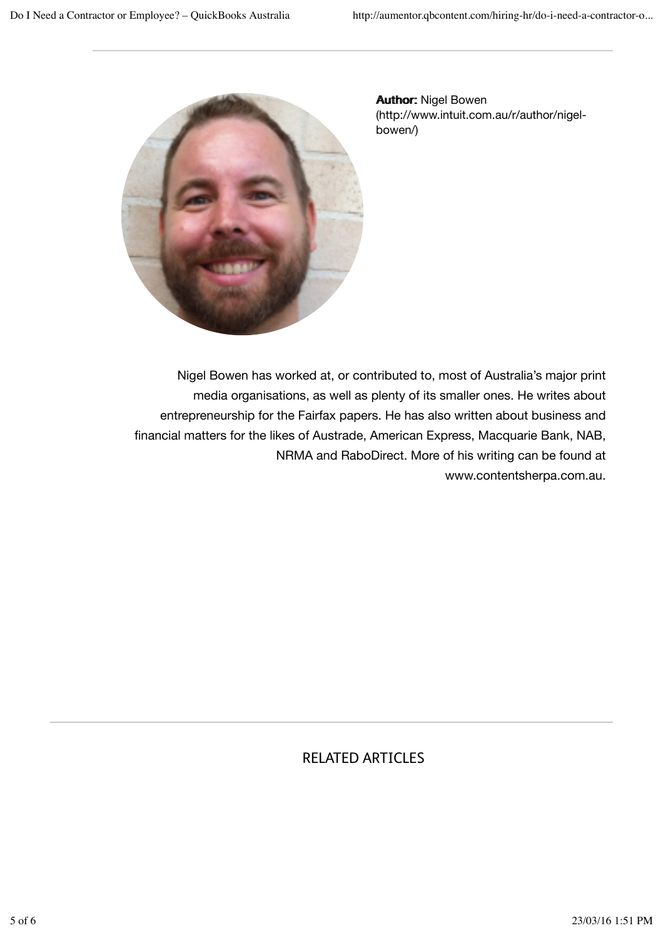

**Author: Nigel Bowen** (http://www.intuit.com.au/r/author/nigelbowen/)

Nigel Bowen has worked at, or contributed to, most of Australia's major print media organisations, as well as plenty of its smaller ones. He writes about entrepreneurship for the Fairfax papers. He has also written about business and financial matters for the likes of Austrade, American Express, Macquarie Bank, NAB, NRMA and RaboDirect. More of his writing can be found at www.contentsherpa.com.au.

### RELATED ARTICLES